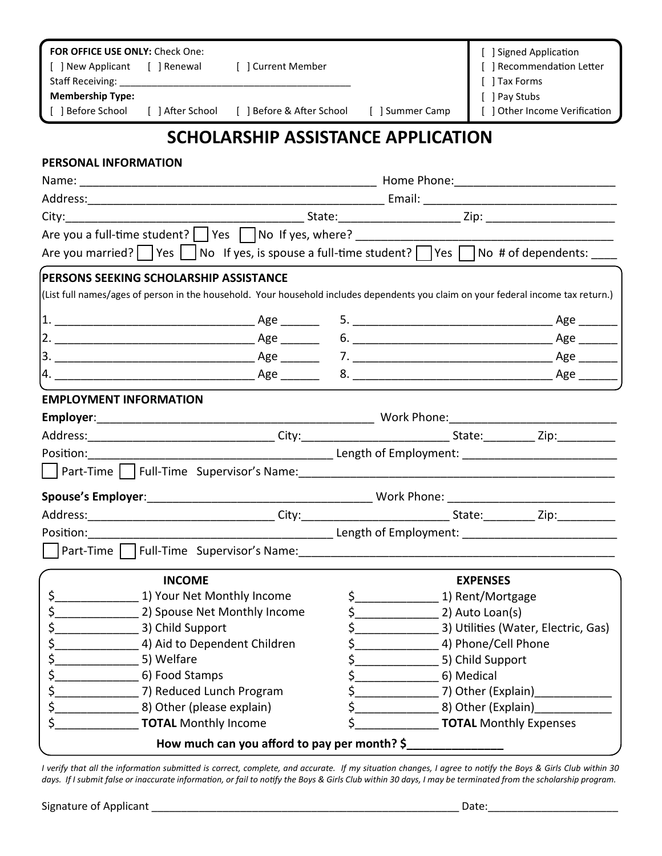| FOR OFFICE USE ONLY: Check One:<br>[ ] New Applicant [ ] Renewal                                                                   |                                    | [ ] Current Member                                         |     |                                                                                                               | [ ] Signed Application<br>[ ] Recommendation Letter |  |
|------------------------------------------------------------------------------------------------------------------------------------|------------------------------------|------------------------------------------------------------|-----|---------------------------------------------------------------------------------------------------------------|-----------------------------------------------------|--|
|                                                                                                                                    |                                    |                                                            |     |                                                                                                               | [ ] Tax Forms                                       |  |
| <b>Membership Type:</b><br>[ ] Before School                                                                                       |                                    | [ ] After School [ ] Before & After School [ ] Summer Camp |     |                                                                                                               | [ ] Pay Stubs                                       |  |
|                                                                                                                                    |                                    |                                                            |     |                                                                                                               | [ ] Other Income Verification                       |  |
| SCHOLARSHIP ASSISTANCE APPLICATION                                                                                                 |                                    |                                                            |     |                                                                                                               |                                                     |  |
| PERSONAL INFORMATION                                                                                                               |                                    |                                                            |     |                                                                                                               |                                                     |  |
|                                                                                                                                    |                                    |                                                            |     |                                                                                                               |                                                     |  |
|                                                                                                                                    |                                    |                                                            |     |                                                                                                               |                                                     |  |
|                                                                                                                                    |                                    |                                                            |     |                                                                                                               |                                                     |  |
|                                                                                                                                    |                                    |                                                            |     |                                                                                                               |                                                     |  |
| Are you married? Yes $\Box$ No If yes, is spouse a full-time student? $\Box$ Yes $\Box$ No # of dependents: ___                    |                                    |                                                            |     |                                                                                                               |                                                     |  |
| PERSONS SEEKING SCHOLARSHIP ASSISTANCE                                                                                             |                                    |                                                            |     |                                                                                                               |                                                     |  |
| (List full names/ages of person in the household. Your household includes dependents you claim on your federal income tax return.) |                                    |                                                            |     |                                                                                                               |                                                     |  |
|                                                                                                                                    |                                    |                                                            |     |                                                                                                               |                                                     |  |
|                                                                                                                                    |                                    |                                                            |     |                                                                                                               |                                                     |  |
|                                                                                                                                    |                                    |                                                            |     |                                                                                                               |                                                     |  |
|                                                                                                                                    |                                    |                                                            |     |                                                                                                               |                                                     |  |
| <b>EMPLOYMENT INFORMATION</b>                                                                                                      |                                    |                                                            |     |                                                                                                               |                                                     |  |
|                                                                                                                                    |                                    |                                                            |     |                                                                                                               |                                                     |  |
|                                                                                                                                    |                                    |                                                            |     |                                                                                                               |                                                     |  |
|                                                                                                                                    |                                    |                                                            |     |                                                                                                               |                                                     |  |
|                                                                                                                                    |                                    |                                                            |     | Part-Time   Full-Time Supervisor's Name: Name = 2008 1201 1202 1203 1204 1205 1206 1207 1208 1209 1209 1209 1 |                                                     |  |
|                                                                                                                                    |                                    |                                                            |     | _______________________ Work Phone: ___________________                                                       |                                                     |  |
|                                                                                                                                    |                                    |                                                            |     |                                                                                                               |                                                     |  |
| Position:                                                                                                                          | Length of Employment: Example 2014 |                                                            |     |                                                                                                               |                                                     |  |
| Part-Time                                                                                                                          |                                    | Full-Time Supervisor's Name:                               |     |                                                                                                               |                                                     |  |
|                                                                                                                                    | <b>INCOME</b>                      |                                                            |     |                                                                                                               | <b>EXPENSES</b>                                     |  |
| \$.                                                                                                                                | 1) Your Net Monthly Income         |                                                            |     | \$____                                                                                                        | 1) Rent/Mortgage                                    |  |
|                                                                                                                                    | 2) Spouse Net Monthly Income       |                                                            |     | $\zeta$                                                                                                       | 2) Auto Loan(s)                                     |  |
| \$<br>3) Child Support                                                                                                             |                                    |                                                            |     | $\mathsf{s}\_\_\_\_\_\_\$                                                                                     | 3) Utilities (Water, Electric, Gas)                 |  |
| \$<br>4) Aid to Dependent Children                                                                                                 |                                    |                                                            | \$  | 4) Phone/Cell Phone                                                                                           |                                                     |  |
| \$<br>5) Welfare                                                                                                                   |                                    |                                                            | \$  | 5) Child Support                                                                                              |                                                     |  |
| \$                                                                                                                                 | 6) Food Stamps                     |                                                            | \$. |                                                                                                               | 6) Medical                                          |  |
| \$                                                                                                                                 | 7) Reduced Lunch Program           |                                                            |     |                                                                                                               | 7) Other (Explain)                                  |  |
| \$.                                                                                                                                | 8) Other (please explain)          |                                                            | \$_ |                                                                                                               | 8) Other (Explain) [19]                             |  |
| <b>TOTAL Monthly Income</b>                                                                                                        |                                    |                                                            | \$. |                                                                                                               | <b>TOTAL Monthly Expenses</b>                       |  |

How much can you afford to pay per month? \$\_

*I verify that all the information submitted is correct, complete, and accurate. If my situation changes, I agree to notify the Boys & Girls Club within 30 days. If I submit false or inaccurate information, or fail to notify the Boys & Girls Club within 30 days, I may be terminated from the scholarship program.*